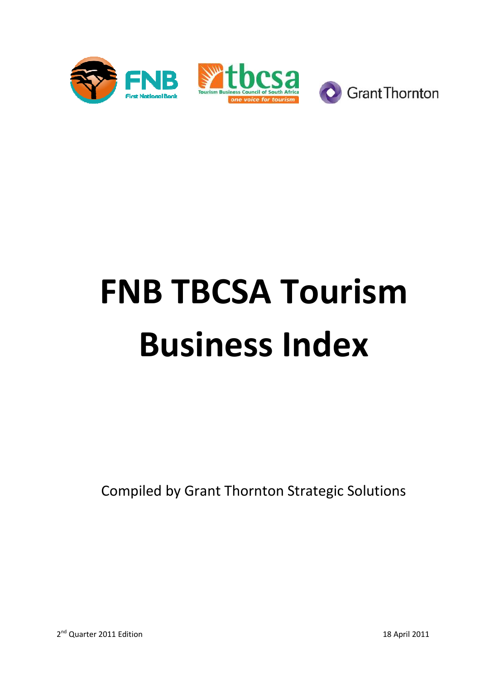

# **FNB TBCSA Tourism Business Index Business**

Compiled by Grant Thornton Strategic Solutions

2<sup>nd</sup> Quarter 2011 Edition

18 April 2011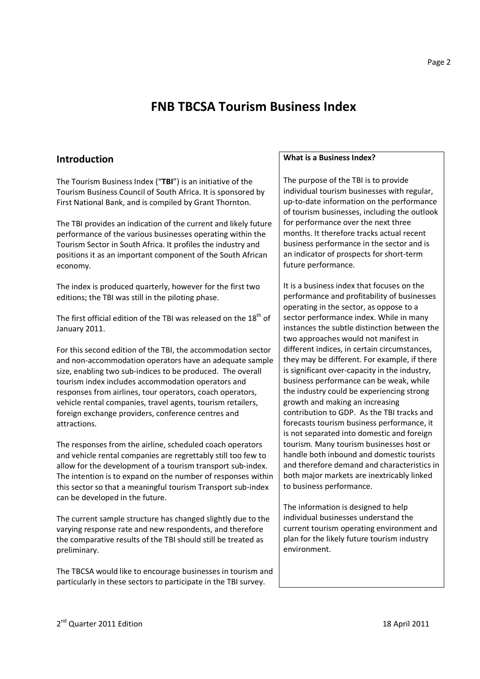# **FNB TBCSA Tourism Business Index**

# **Introduction**

The Tourism Business Index ("**TBI**") is an initiative of the Tourism Business Council of South Africa. It is sponsored by First National Bank, and is compiled by Grant Thornton.

The TBI provides an indication of the current and likely future performance of the various businesses operating within the Tourism Sector in South Africa. It profiles the industry and positions it as an important component of the South African economy.

The index is produced quarterly, however for the first two editions; the TBI was still in the piloting phase.

The first official edition of the TBI was released on the  $18<sup>th</sup>$  of January 2011.

For this second edition of the TBI, the accommodation sector and non-accommodation operators have an adequate sample size, enabling two sub-indices to be produced. The overall tourism index includes accommodation operators and responses from airlines, tour operators, coach operators, vehicle rental companies, travel agents, tourism retailers, foreign exchange providers, conference centres and attractions.

The responses from the airline, scheduled coach operators and vehicle rental companies are regrettably still too few to allow for the development of a tourism transport sub-index. The intention is to expand on the number of responses within this sector so that a meaningful tourism Transport sub-index can be developed in the future.

The current sample structure has changed slightly due to the varying response rate and new respondents, and therefore the comparative results of the TBI should still be treated as preliminary.

The TBCSA would like to encourage businesses in tourism and particularly in these sectors to participate in the TBI survey.

#### **What is a Business Index?**

The purpose of the TBI is to provide individual tourism businesses with regular, up-to-date information on the performance of tourism businesses, including the outlook for performance over the next three months. It therefore tracks actual recent business performance in the sector and is an indicator of prospects for short-term future performance.

It is a business index that focuses on the performance and profitability of businesses operating in the sector, as oppose to a sector performance index. While in many instances the subtle distinction between the two approaches would not manifest in different indices, in certain circumstances, they may be different. For example, if there is significant over-capacity in the industry, business performance can be weak, while the industry could be experiencing strong growth and making an increasing contribution to GDP. As the TBI tracks and forecasts tourism business performance, it is not separated into domestic and foreign tourism. Many tourism businesses host or handle both inbound and domestic tourists and therefore demand and characteristics in both major markets are inextricably linked to business performance.

The information is designed to help individual businesses understand the current tourism operating environment and plan for the likely future tourism industry environment.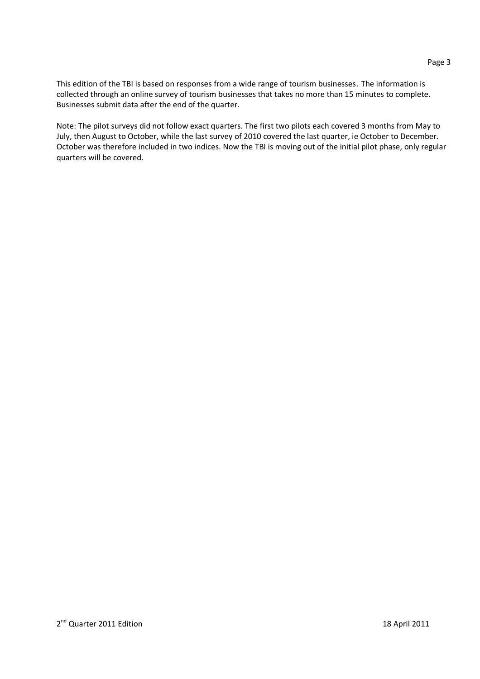This edition of the TBI is based on responses from a wide range of tourism businesses. The information is collected through an online survey of tourism businesses that takes no more than 15 minutes to complete. Businesses submit data after the end of the quarter.

Note: The pilot surveys did not follow exact quarters. The first two pilots each covered 3 months from May to July, then August to October, while the last survey of 2010 covered the last quarter, ie October to December. October was therefore included in two indices. Now the TBI is moving out of the initial pilot phase, only regular quarters will be covered.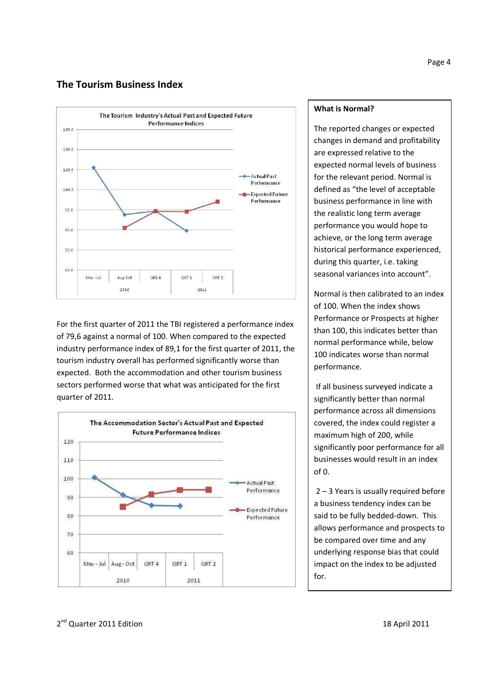# **The Tourism Business Index**



For the first quarter of 2011 the TBI registered a performance index of 79,6 against a normal of 100. When compared to the expected industry performance index of 89,1 for the first quarter of 2011, the tourism industry overall has performed significantly worse than expected. Both the accommodation and other tourism business sectors performed worse that what was anticipated for the first quarter of 2011.



#### **What is Normal?**

The reported changes or expected changes in demand and profitability are expressed relative to the expected normal levels of business for the relevant period. Normal is defined as "the level of acceptable business performance in line with the realistic long term average performance you would hope to achieve, or the long term average historical performance experienced, during this quarter, i.e. taking seasonal variances into account".

Normal is then calibrated to an index of 100. When the index shows Performance or Prospects at higher than 100, this indicates better than normal performance while, below 100 indicates worse than normal performance.

 If all business surveyed indicate a significantly better than normal performance across all dimensions covered, the index could register a maximum high of 200, while significantly poor performance for all businesses would result in an index of 0.

 2 – 3 Years is usually required before a business tendency index can be said to be fully bedded-down. This allows performance and prospects to be compared over time and any underlying response bias that could impact on the index to be adjusted for.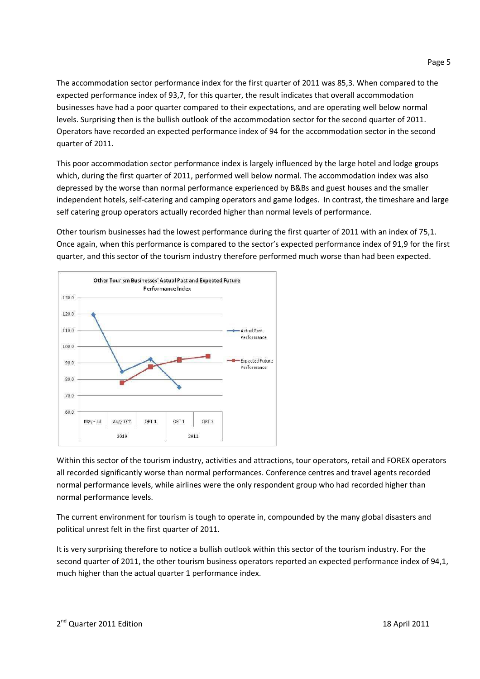The accommodation sector performance index for the first quarter of 2011 was 85,3. When compared to the expected performance index of 93,7, for this quarter, the result indicates that overall accommodation businesses have had a poor quarter compared to their expectations, and are operating well below normal levels. Surprising then is the bullish outlook of the accommodation sector for the second quarter of 2011. Operators have recorded an expected performance index of 94 for the accommodation sector in the second quarter of 2011.

This poor accommodation sector performance index is largely influenced by the large hotel and lodge groups which, during the first quarter of 2011, performed well below normal. The accommodation index was also depressed by the worse than normal performance experienced by B&Bs and guest houses and the smaller independent hotels, self-catering and camping operators and game lodges. In contrast, the timeshare and large self catering group operators actually recorded higher than normal levels of performance.

Other tourism businesses had the lowest performance during the first quarter of 2011 with an index of 75,1. Once again, when this performance is compared to the sector's expected performance index of 91,9 for the first quarter, and this sector of the tourism industry therefore performed much worse than had been expected.



Within this sector of the tourism industry, activities and attractions, tour operators, retail and FOREX operators all recorded significantly worse than normal performances. Conference centres and travel agents recorded normal performance levels, while airlines were the only respondent group who had recorded higher than normal performance levels.

The current environment for tourism is tough to operate in, compounded by the many global disasters and political unrest felt in the first quarter of 2011.

It is very surprising therefore to notice a bullish outlook within this sector of the tourism industry. For the second quarter of 2011, the other tourism business operators reported an expected performance index of 94,1, much higher than the actual quarter 1 performance index.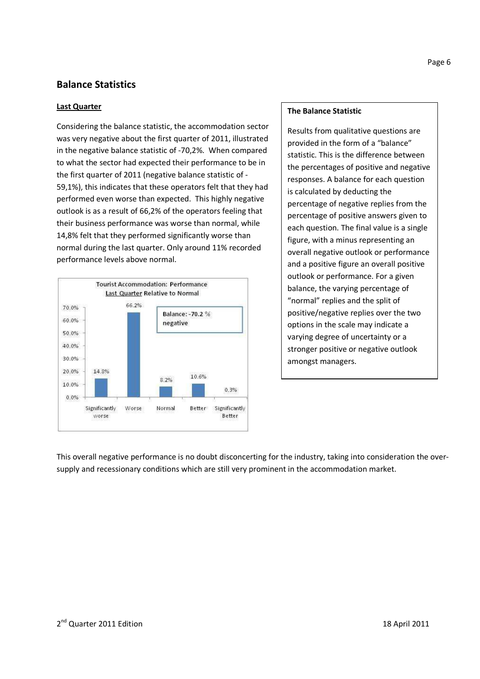# **Balance Statistics**

#### **Last Quarter**

Considering the balance statistic, the accommodation sector was very negative about the first quarter of 2011, illustrated in the negative balance statistic of -70,2%. When compared to what the sector had expected their performance to be in the first quarter of 2011 (negative balance statistic of - 59,1%), this indicates that these operators felt that they had performed even worse than expected. This highly negative outlook is as a result of 66,2% of the operators feeling that their business performance was worse than normal, while 14,8% felt that they performed significantly worse than normal during the last quarter. Only around 11% recorded performance levels above normal.



#### **The Balance Statistic**

Results from qualitative questions are provided in the form of a "balance" statistic. This is the difference between the percentages of positive and negative responses. A balance for each question is calculated by deducting the percentage of negative replies from the percentage of positive answers given to each question. The final value is a single figure, with a minus representing an overall negative outlook or performance and a positive figure an overall positive outlook or performance. For a given balance, the varying percentage of "normal" replies and the split of positive/negative replies over the two options in the scale may indicate a varying degree of uncertainty or a stronger positive or negative outlook amongst managers.

This overall negative performance is no doubt disconcerting for the industry, taking into consideration the oversupply and recessionary conditions which are still very prominent in the accommodation market.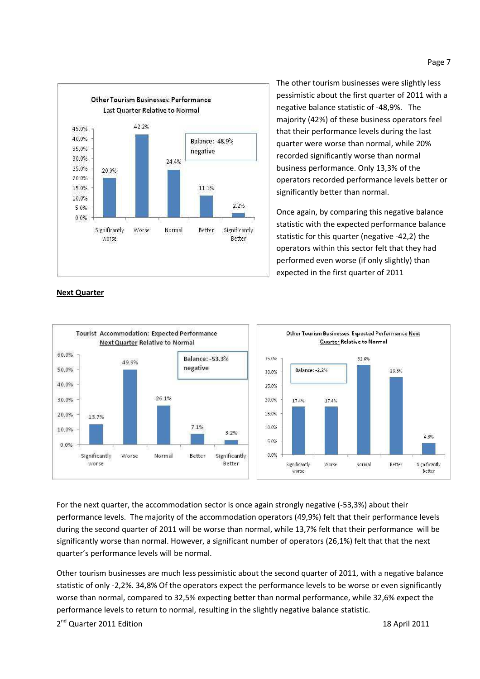

**Next Quarter**

The other tourism businesses were slightly less pessimistic about the first quarter of 2011 with a negative balance statistic of -48,9%. The majority (42%) of these business operators feel that their performance levels during the last quarter were worse than normal, while 20% recorded significantly worse than normal business performance. Only 13,3% of the operators recorded performance levels better or significantly better than normal.

Once again, by comparing this negative balance statistic with the expected performance balance statistic for this quarter (negative -42,2) the operators within this sector felt that they had performed even worse (if only slightly) than expected in the first quarter of 2011



For the next quarter, the accommodation sector is once again strongly negative (-53,3%) about their performance levels. The majority of the accommodation operators (49,9%) felt that their performance levels during the second quarter of 2011 will be worse than normal, while 13,7% felt that their performance will be significantly worse than normal. However, a significant number of operators (26,1%) felt that that the next quarter's performance levels will be normal.

Other tourism businesses are much less pessimistic about the second quarter of 2011, with a negative balance statistic of only -2,2%. 34,8% Of the operators expect the performance levels to be worse or even significantly worse than normal, compared to 32,5% expecting better than normal performance, while 32,6% expect the performance levels to return to normal, resulting in the slightly negative balance statistic.

2 nd Quarter 2011 Edition 18 April 2011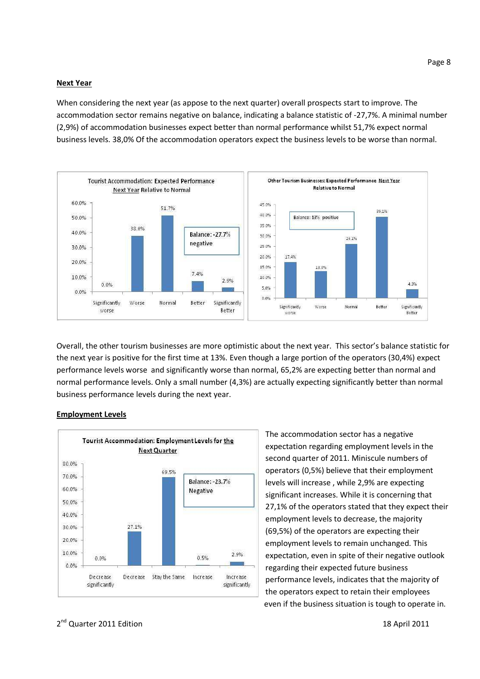#### **Next Year**

When considering the next year (as appose to the next quarter) overall prospects start to improve. The accommodation sector remains negative on balance, indicating a balance statistic of -27,7%. A minimal number (2,9%) of accommodation businesses expect better than normal performance whilst 51,7% expect normal business levels. 38,0% Of the accommodation operators expect the business levels to be worse than normal.



Overall, the other tourism businesses are more optimistic about the next year. This sector's balance statistic for the next year is positive for the first time at 13%. Even though a large portion of the operators (30,4%) expect performance levels worse and significantly worse than normal, 65,2% are expecting better than normal and normal performance levels. Only a small number (4,3%) are actually expecting significantly better than normal business performance levels during the next year.



#### **Employment Levels**

The accommodation sector has a negative expectation regarding employment levels in the second quarter of 2011. Miniscule numbers of operators (0,5%) believe that their employment levels will increase , while 2,9% are expecting significant increases. While it is concerning that 27,1% of the operators stated that they expect their employment levels to decrease, the majority (69,5%) of the operators are expecting their employment levels to remain unchanged. This expectation, even in spite of their negative outlook regarding their expected future business performance levels, indicates that the majority of the operators expect to retain their employees even if the business situation is tough to operate in.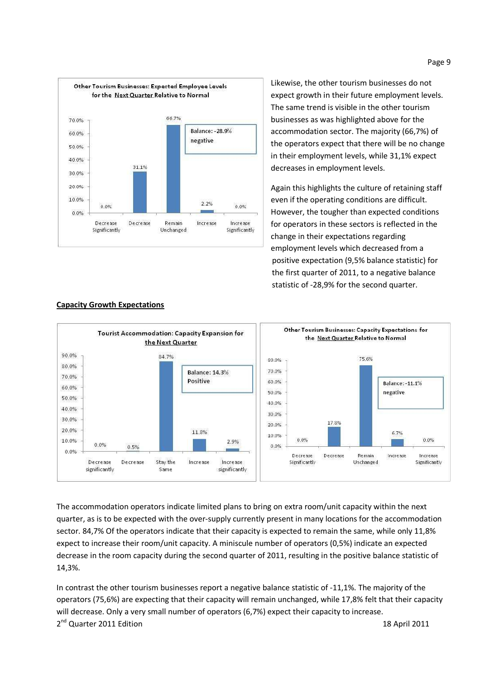

Likewise, the other tourism businesses do not expect growth in their future employment levels. The same trend is visible in the other tourism businesses as was highlighted above for the accommodation sector. The majority (66,7%) of the operators expect that there will be no change in their employment levels, while 31,1% expect decreases in employment levels.

Again this highlights the culture of retaining staff even if the operating conditions are difficult. However, the tougher than expected conditions for operators in these sectors is reflected in the change in their expectations regarding employment levels which decreased from a positive expectation (9,5% balance statistic) for the first quarter of 2011, to a negative balance statistic of -28,9% for the second quarter.



#### **Capacity Growth Expectations**

The accommodation operators indicate limited plans to bring on extra room/unit capacity within the next quarter, as is to be expected with the over-supply currently present in many locations for the accommodation sector. 84,7% Of the operators indicate that their capacity is expected to remain the same, while only 11,8% expect to increase their room/unit capacity. A miniscule number of operators (0,5%) indicate an expected decrease in the room capacity during the second quarter of 2011, resulting in the positive balance statistic of 14,3%.

2 nd Quarter 2011 Edition 18 April 2011 In contrast the other tourism businesses report a negative balance statistic of -11,1%. The majority of the operators (75,6%) are expecting that their capacity will remain unchanged, while 17,8% felt that their capacity will decrease. Only a very small number of operators (6,7%) expect their capacity to increase.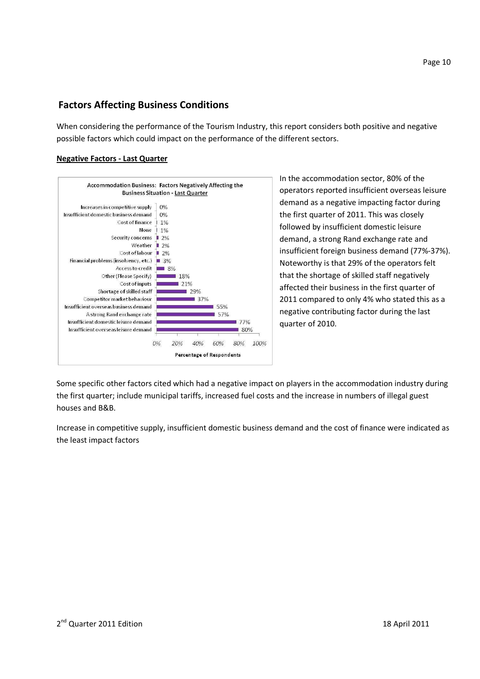# **Factors Affecting Business Conditions**

When considering the performance of the Tourism Industry, this report considers both positive and negative possible factors which could impact on the performance of the different sectors.

### **Negative Factors - Last Quarter**



In the accommodation sector, 80% of the operators reported insufficient overseas leisure demand as a negative impacting factor during the first quarter of 2011. This was closely followed by insufficient domestic leisure demand, a strong Rand exchange rate and insufficient foreign business demand (77%-37%). Noteworthy is that 29% of the operators felt that the shortage of skilled staff negatively affected their business in the first quarter of 2011 compared to only 4% who stated this as a negative contributing factor during the last quarter of 2010.

Some specific other factors cited which had a negative impact on players in the accommodation industry during the first quarter; include municipal tariffs, increased fuel costs and the increase in numbers of illegal guest houses and B&B.

Increase in competitive supply, insufficient domestic business demand and the cost of finance were indicated as the least impact factors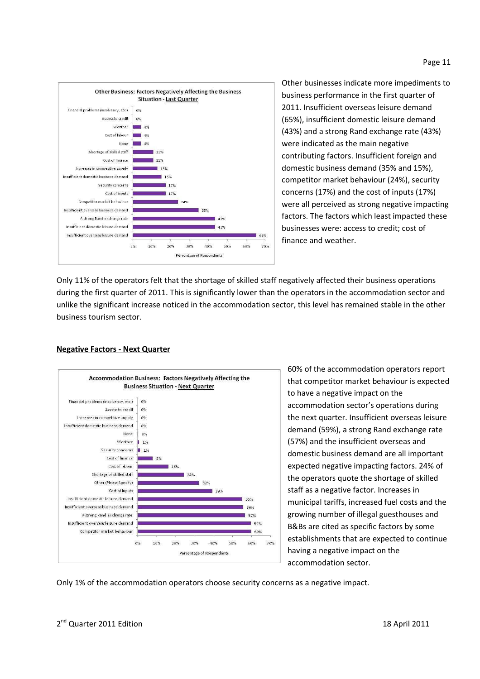

Other businesses indicate more impediments to business performance in the first quarter of 2011. Insufficient overseas leisure demand (65%), insufficient domestic leisure demand (43%) and a strong Rand exchange rate (43%) were indicated as the main negative contributing factors. Insufficient foreign and domestic business demand (35% and 15%), competitor market behaviour (24%), security concerns (17%) and the cost of inputs (17%) were all perceived as strong negative impacting factors. The factors which least impacted these businesses were: access to credit; cost of finance and weather.

Only 11% of the operators felt that the shortage of skilled staff negatively affected their business operations during the first quarter of 2011. This is significantly lower than the operators in the accommodation sector and unlike the significant increase noticed in the accommodation sector, this level has remained stable in the other business tourism sector.



#### **Negative Factors - Next Quarter**

60% of the accommodation operators report that competitor market behaviour is expected to have a negative impact on the accommodation sector's operations during the next quarter. Insufficient overseas leisure demand (59%), a strong Rand exchange rate (57%) and the insufficient overseas and domestic business demand are all important expected negative impacting factors. 24% of the operators quote the shortage of skilled staff as a negative factor. Increases in municipal tariffs, increased fuel costs and the growing number of illegal guesthouses and B&Bs are cited as specific factors by some establishments that are expected to continue having a negative impact on the accommodation sector.

Only 1% of the accommodation operators choose security concerns as a negative impact.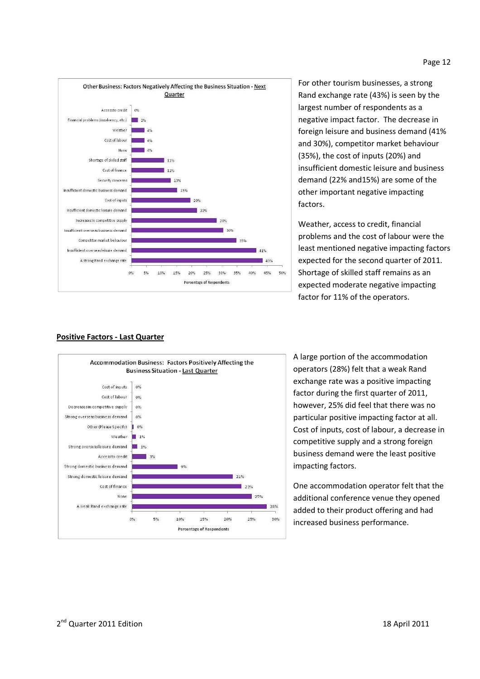

For other tourism businesses, a strong Rand exchange rate (43%) is seen by the largest number of respondents as a negative impact factor. The decrease in foreign leisure and business demand (41% and 30%), competitor market behaviour (35%), the cost of inputs (20%) and insufficient domestic leisure and business demand (22% and15%) are some of the other important negative impacting factors.

Weather, access to credit, financial problems and the cost of labour were the least mentioned negative impacting factors expected for the second quarter of 2011. Shortage of skilled staff remains as an expected moderate negative impacting factor for 11% of the operators.



#### **Positive Factors - Last Quarter**

A large portion of the accommodation operators (28%) felt that a weak Rand exchange rate was a positive impacting factor during the first quarter of 2011, however, 25% did feel that there was no particular positive impacting factor at all. Cost of inputs, cost of labour, a decrease in competitive supply and a strong foreign business demand were the least positive impacting factors.

One accommodation operator felt that the additional conference venue they opened added to their product offering and had increased business performance.

#### Page 12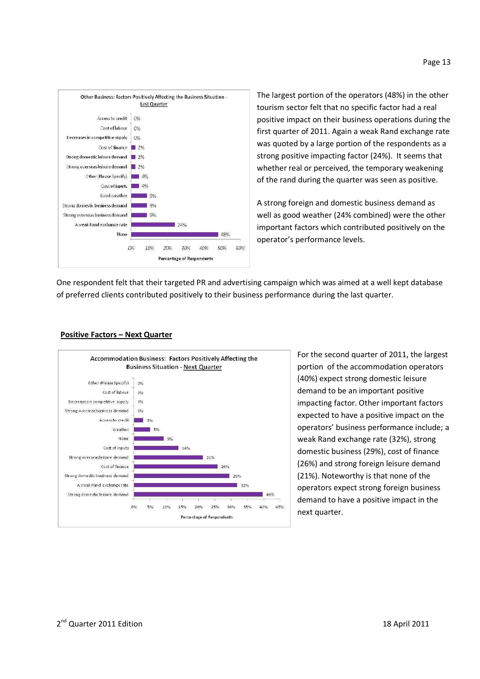

The largest portion of the operators (48%) in the other tourism sector felt that no specific factor had a real positive impact on their business operations during the first quarter of 2011. Again a weak Rand exchange rate was quoted by a large portion of the respondents as a strong positive impacting factor (24%). It seems that whether real or perceived, the temporary weakening of the rand during the quarter was seen as positive.

A strong foreign and domestic business demand as well as good weather (24% combined) were the other important factors which contributed positively on the operator's performance levels.

One respondent felt that their targeted PR and advertising campaign which was aimed at a well kept database of preferred clients contributed positively to their business performance during the last quarter.



**Positive Factors – Next Quarter**

For the second quarter of 2011, the largest portion of the accommodation operators (40%) expect strong domestic leisure demand to be an important positive impacting factor. Other important factors expected to have a positive impact on the operators' business performance include; a weak Rand exchange rate (32%), strong domestic business (29%), cost of finance (26%) and strong foreign leisure demand (21%). Noteworthy is that none of the operators expect strong foreign business demand to have a positive impact in the next quarter.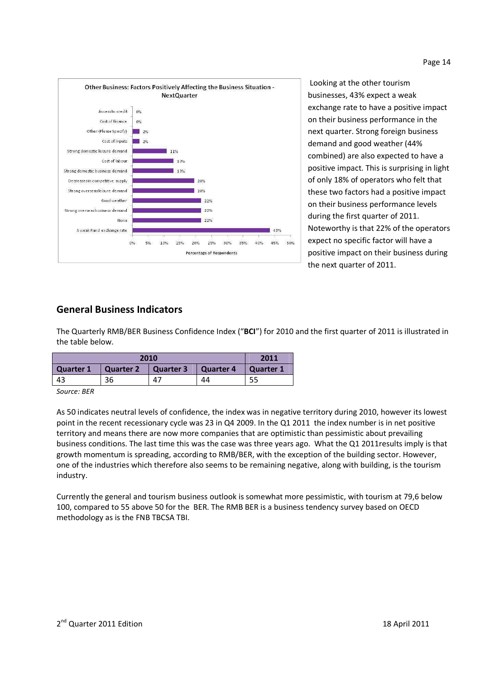

 Looking at the other tourism businesses, 43% expect a weak exchange rate to have a positive impact on their business performance in the next quarter. Strong foreign business demand and good weather (44% combined) are also expected to have a positive impact. This is surprising in light of only 18% of operators who felt that these two factors had a positive impact on their business performance levels during the first quarter of 2011. Noteworthy is that 22% of the operators expect no specific factor will have a positive impact on their business during the next quarter of 2011.

# **General Business Indicators**

The Quarterly RMB/BER Business Confidence Index ("**BCI**") for 2010 and the first quarter of 2011 is illustrated in the table below.

| 2010      |           |           |           | 2011      |
|-----------|-----------|-----------|-----------|-----------|
| Quarter 1 | Quarter 2 | Quarter 3 | Quarter 4 | Quarter 1 |
| -43       | 36        | 47        | 44        |           |
|           |           |           |           |           |

*Source: BER* 

As 50 indicates neutral levels of confidence, the index was in negative territory during 2010, however its lowest point in the recent recessionary cycle was 23 in Q4 2009. In the Q1 2011 the index number is in net positive territory and means there are now more companies that are optimistic than pessimistic about prevailing business conditions. The last time this was the case was three years ago. What the Q1 2011results imply is that growth momentum is spreading, according to RMB/BER, with the exception of the building sector. However, one of the industries which therefore also seems to be remaining negative, along with building, is the tourism industry.

Currently the general and tourism business outlook is somewhat more pessimistic, with tourism at 79,6 below 100, compared to 55 above 50 for the BER. The RMB BER is a business tendency survey based on OECD methodology as is the FNB TBCSA TBI.

#### Page 14